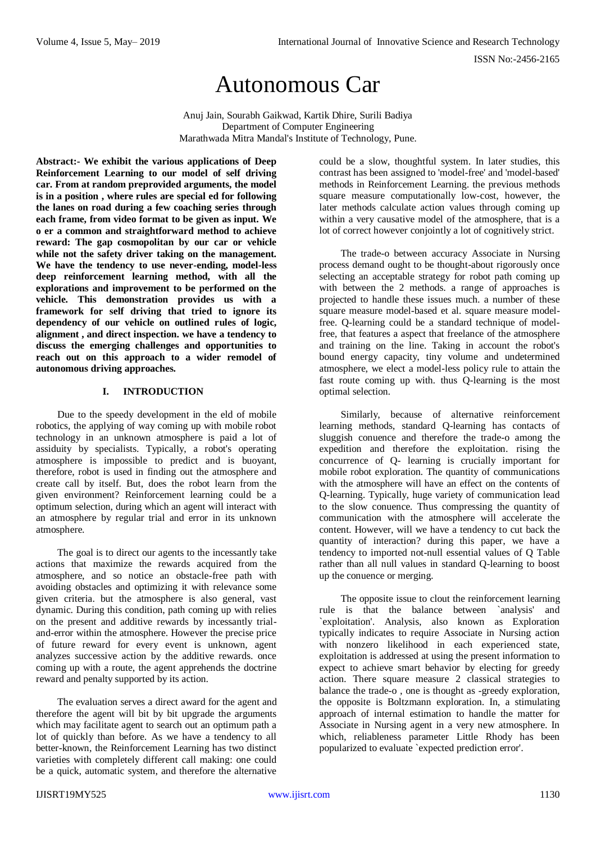# Autonomous Car

Anuj Jain, Sourabh Gaikwad, Kartik Dhire, Surili Badiya Department of Computer Engineering Marathwada Mitra Mandal's Institute of Technology, Pune.

**Abstract:- We exhibit the various applications of Deep Reinforcement Learning to our model of self driving car. From at random preprovided arguments, the model is in a position , where rules are special ed for following the lanes on road during a few coaching series through each frame, from video format to be given as input. We o er a common and straightforward method to achieve reward: The gap cosmopolitan by our car or vehicle while not the safety driver taking on the management. We have the tendency to use never-ending, model-less deep reinforcement learning method, with all the explorations and improvement to be performed on the vehicle. This demonstration provides us with a framework for self driving that tried to ignore its dependency of our vehicle on outlined rules of logic, alignment , and direct inspection. we have a tendency to discuss the emerging challenges and opportunities to reach out on this approach to a wider remodel of autonomous driving approaches.**

# **I. INTRODUCTION**

Due to the speedy development in the eld of mobile robotics, the applying of way coming up with mobile robot technology in an unknown atmosphere is paid a lot of assiduity by specialists. Typically, a robot's operating atmosphere is impossible to predict and is buoyant, therefore, robot is used in finding out the atmosphere and create call by itself. But, does the robot learn from the given environment? Reinforcement learning could be a optimum selection, during which an agent will interact with an atmosphere by regular trial and error in its unknown atmosphere.

The goal is to direct our agents to the incessantly take actions that maximize the rewards acquired from the atmosphere, and so notice an obstacle-free path with avoiding obstacles and optimizing it with relevance some given criteria. but the atmosphere is also general, vast dynamic. During this condition, path coming up with relies on the present and additive rewards by incessantly trialand-error within the atmosphere. However the precise price of future reward for every event is unknown, agent analyzes successive action by the additive rewards. once coming up with a route, the agent apprehends the doctrine reward and penalty supported by its action.

The evaluation serves a direct award for the agent and therefore the agent will bit by bit upgrade the arguments which may facilitate agent to search out an optimum path a lot of quickly than before. As we have a tendency to all better-known, the Reinforcement Learning has two distinct varieties with completely different call making: one could be a quick, automatic system, and therefore the alternative

could be a slow, thoughtful system. In later studies, this contrast has been assigned to 'model-free' and 'model-based' methods in Reinforcement Learning. the previous methods square measure computationally low-cost, however, the later methods calculate action values through coming up within a very causative model of the atmosphere, that is a lot of correct however conjointly a lot of cognitively strict.

The trade-o between accuracy Associate in Nursing process demand ought to be thought-about rigorously once selecting an acceptable strategy for robot path coming up with between the 2 methods. a range of approaches is projected to handle these issues much. a number of these square measure model-based et al. square measure modelfree. Q-learning could be a standard technique of modelfree, that features a aspect that freelance of the atmosphere and training on the line. Taking in account the robot's bound energy capacity, tiny volume and undetermined atmosphere, we elect a model-less policy rule to attain the fast route coming up with. thus Q-learning is the most optimal selection.

Similarly, because of alternative reinforcement learning methods, standard Q-learning has contacts of sluggish conuence and therefore the trade-o among the expedition and therefore the exploitation. rising the concurrence of Q- learning is crucially important for mobile robot exploration. The quantity of communications with the atmosphere will have an effect on the contents of Q-learning. Typically, huge variety of communication lead to the slow conuence. Thus compressing the quantity of communication with the atmosphere will accelerate the content. However, will we have a tendency to cut back the quantity of interaction? during this paper, we have a tendency to imported not-null essential values of Q Table rather than all null values in standard Q-learning to boost up the conuence or merging.

The opposite issue to clout the reinforcement learning rule is that the balance between `analysis' and `exploitation'. Analysis, also known as Exploration typically indicates to require Associate in Nursing action with nonzero likelihood in each experienced state, exploitation is addressed at using the present information to expect to achieve smart behavior by electing for greedy action. There square measure 2 classical strategies to balance the trade-o , one is thought as -greedy exploration, the opposite is Boltzmann exploration. In, a stimulating approach of internal estimation to handle the matter for Associate in Nursing agent in a very new atmosphere. In which, reliableness parameter Little Rhody has been popularized to evaluate `expected prediction error'.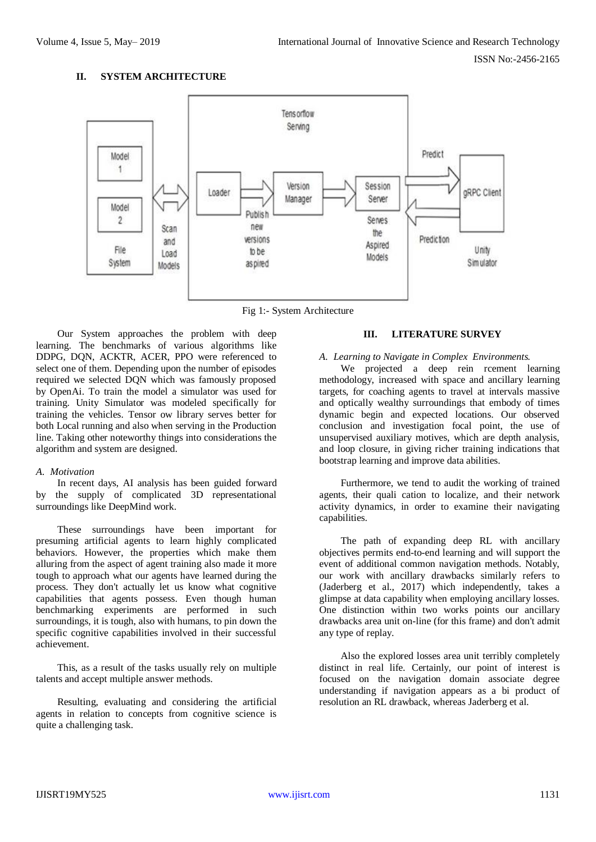## **II. SYSTEM ARCHITECTURE**



Fig 1:- System Architecture

Our System approaches the problem with deep learning. The benchmarks of various algorithms like DDPG, DQN, ACKTR, ACER, PPO were referenced to select one of them. Depending upon the number of episodes required we selected DQN which was famously proposed by OpenAi. To train the model a simulator was used for training. Unity Simulator was modeled specifically for training the vehicles. Tensor ow library serves better for both Local running and also when serving in the Production line. Taking other noteworthy things into considerations the algorithm and system are designed.

## *A. Motivation*

In recent days, AI analysis has been guided forward by the supply of complicated 3D representational surroundings like DeepMind work.

These surroundings have been important for presuming artificial agents to learn highly complicated behaviors. However, the properties which make them alluring from the aspect of agent training also made it more tough to approach what our agents have learned during the process. They don't actually let us know what cognitive capabilities that agents possess. Even though human benchmarking experiments are performed in such surroundings, it is tough, also with humans, to pin down the specific cognitive capabilities involved in their successful achievement.

This, as a result of the tasks usually rely on multiple talents and accept multiple answer methods.

Resulting, evaluating and considering the artificial agents in relation to concepts from cognitive science is quite a challenging task.

# **III. LITERATURE SURVEY**

# *A. Learning to Navigate in Complex Environments.*

We projected a deep rein rcement learning methodology, increased with space and ancillary learning targets, for coaching agents to travel at intervals massive and optically wealthy surroundings that embody of times dynamic begin and expected locations. Our observed conclusion and investigation focal point, the use of unsupervised auxiliary motives, which are depth analysis, and loop closure, in giving richer training indications that bootstrap learning and improve data abilities.

Furthermore, we tend to audit the working of trained agents, their quali cation to localize, and their network activity dynamics, in order to examine their navigating capabilities.

The path of expanding deep RL with ancillary objectives permits end-to-end learning and will support the event of additional common navigation methods. Notably, our work with ancillary drawbacks similarly refers to (Jaderberg et al., 2017) which independently, takes a glimpse at data capability when employing ancillary losses. One distinction within two works points our ancillary drawbacks area unit on-line (for this frame) and don't admit any type of replay.

Also the explored losses area unit terribly completely distinct in real life. Certainly, our point of interest is focused on the navigation domain associate degree understanding if navigation appears as a bi product of resolution an RL drawback, whereas Jaderberg et al.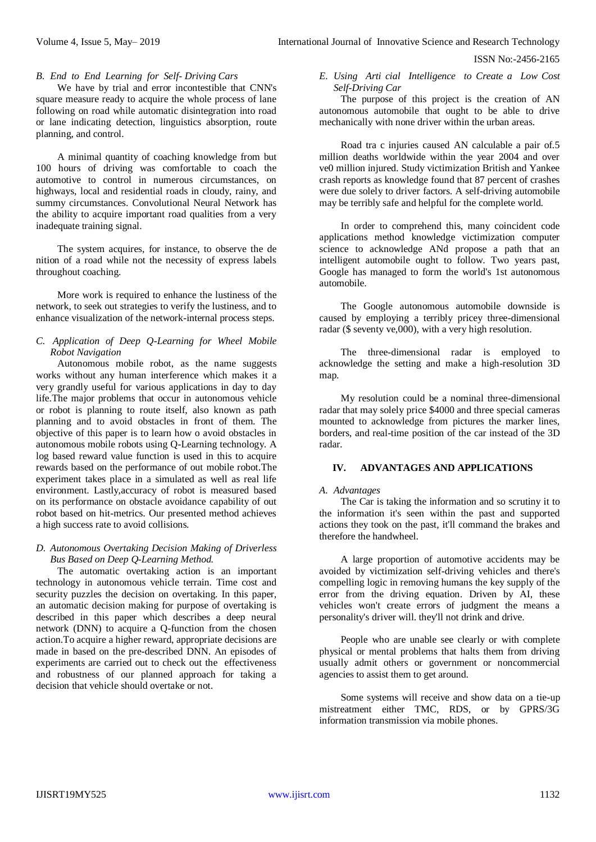ISSN No:-2456-2165

# *B. End to End Learning for Self- Driving Cars*

We have by trial and error incontestible that CNN's square measure ready to acquire the whole process of lane following on road while automatic disintegration into road or lane indicating detection, linguistics absorption, route planning, and control.

A minimal quantity of coaching knowledge from but 100 hours of driving was comfortable to coach the automotive to control in numerous circumstances, on highways, local and residential roads in cloudy, rainy, and summy circumstances. Convolutional Neural Network has the ability to acquire important road qualities from a very inadequate training signal.

The system acquires, for instance, to observe the de nition of a road while not the necessity of express labels throughout coaching.

More work is required to enhance the lustiness of the network, to seek out strategies to verify the lustiness, and to enhance visualization of the network-internal process steps.

# *C. Application of Deep Q-Learning for Wheel Mobile Robot Navigation*

Autonomous mobile robot, as the name suggests works without any human interference which makes it a very grandly useful for various applications in day to day life.The major problems that occur in autonomous vehicle or robot is planning to route itself, also known as path planning and to avoid obstacles in front of them. The objective of this paper is to learn how o avoid obstacles in autonomous mobile robots using Q-Learning technology. A log based reward value function is used in this to acquire rewards based on the performance of out mobile robot.The experiment takes place in a simulated as well as real life environment. Lastly,accuracy of robot is measured based on its performance on obstacle avoidance capability of out robot based on hit-metrics. Our presented method achieves a high success rate to avoid collisions.

#### *D. Autonomous Overtaking Decision Making of Driverless Bus Based on Deep Q-Learning Method.*

The automatic overtaking action is an important technology in autonomous vehicle terrain. Time cost and security puzzles the decision on overtaking. In this paper, an automatic decision making for purpose of overtaking is described in this paper which describes a deep neural network (DNN) to acquire a Q-function from the chosen action.To acquire a higher reward, appropriate decisions are made in based on the pre-described DNN. An episodes of experiments are carried out to check out the effectiveness and robustness of our planned approach for taking a decision that vehicle should overtake or not.

*E. Using Arti cial Intelligence to Create a Low Cost Self-Driving Car*

The purpose of this project is the creation of AN autonomous automobile that ought to be able to drive mechanically with none driver within the urban areas.

Road tra c injuries caused AN calculable a pair of.5 million deaths worldwide within the year 2004 and over ve0 million injured. Study victimization British and Yankee crash reports as knowledge found that 87 percent of crashes were due solely to driver factors. A self-driving automobile may be terribly safe and helpful for the complete world.

In order to comprehend this, many coincident code applications method knowledge victimization computer science to acknowledge ANd propose a path that an intelligent automobile ought to follow. Two years past, Google has managed to form the world's 1st autonomous automobile.

The Google autonomous automobile downside is caused by employing a terribly pricey three-dimensional radar (\$ seventy ve,000), with a very high resolution.

The three-dimensional radar is employed to acknowledge the setting and make a high-resolution 3D map.

My resolution could be a nominal three-dimensional radar that may solely price \$4000 and three special cameras mounted to acknowledge from pictures the marker lines, borders, and real-time position of the car instead of the 3D radar.

# **IV. ADVANTAGES AND APPLICATIONS**

#### *A. Advantages*

The Car is taking the information and so scrutiny it to the information it's seen within the past and supported actions they took on the past, it'll command the brakes and therefore the handwheel.

A large proportion of automotive accidents may be avoided by victimization self-driving vehicles and there's compelling logic in removing humans the key supply of the error from the driving equation. Driven by AI, these vehicles won't create errors of judgment the means a personality's driver will. they'll not drink and drive.

People who are unable see clearly or with complete physical or mental problems that halts them from driving usually admit others or government or noncommercial agencies to assist them to get around.

Some systems will receive and show data on a tie-up mistreatment either TMC, RDS, or by GPRS/3G information transmission via mobile phones.